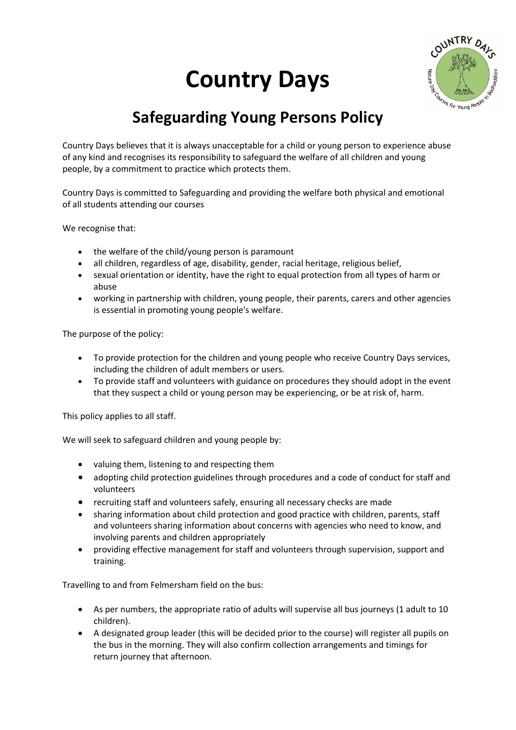## **Country Days**



## **Safeguarding Young Persons Policy**

Country Days believes that it is always unacceptable for a child or young person to experience abuse of any kind and recognises its responsibility to safeguard the welfare of all children and young people, by a commitment to practice which protects them.

Country Days is committed to Safeguarding and providing the welfare both physical and emotional of all students attending our courses

We recognise that:

- the welfare of the child/young person is paramount
- all children, regardless of age, disability, gender, racial heritage, religious belief,
- sexual orientation or identity, have the right to equal protection from all types of harm or abuse
- working in partnership with children, young people, their parents, carers and other agencies is essential in promoting young people's welfare.

The purpose of the policy:

- To provide protection for the children and young people who receive Country Days services, including the children of adult members or users.
- To provide staff and volunteers with guidance on procedures they should adopt in the event that they suspect a child or young person may be experiencing, or be at risk of, harm.

This policy applies to all staff.

We will seek to safeguard children and young people by:

- valuing them, listening to and respecting them
- adopting child protection guidelines through procedures and a code of conduct for staff and volunteers
- recruiting staff and volunteers safely, ensuring all necessary checks are made
- sharing information about child protection and good practice with children, parents, staff and volunteers sharing information about concerns with agencies who need to know, and involving parents and children appropriately
- providing effective management for staff and volunteers through supervision, support and training.

Travelling to and from Felmersham field on the bus:

- As per numbers, the appropriate ratio of adults will supervise all bus journeys (1 adult to 10 children).
- A designated group leader (this will be decided prior to the course) will register all pupils on the bus in the morning. They will also confirm collection arrangements and timings for return journey that afternoon.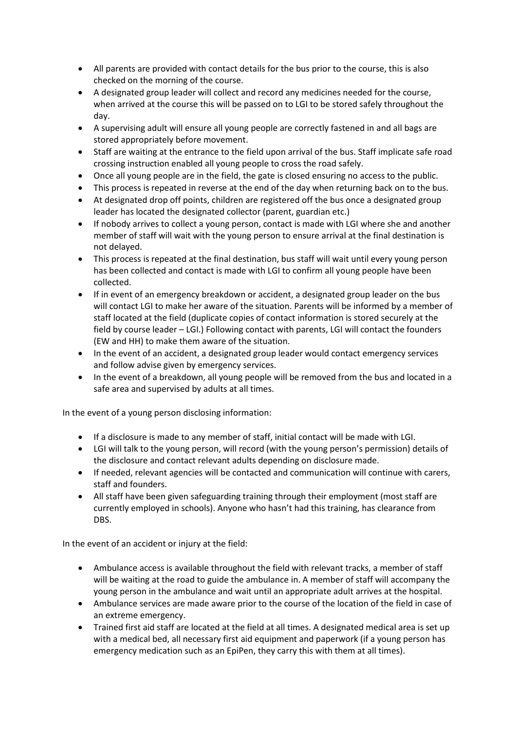- All parents are provided with contact details for the bus prior to the course, this is also checked on the morning of the course.
- A designated group leader will collect and record any medicines needed for the course, when arrived at the course this will be passed on to LGI to be stored safely throughout the day.
- A supervising adult will ensure all young people are correctly fastened in and all bags are stored appropriately before movement.
- Staff are waiting at the entrance to the field upon arrival of the bus. Staff implicate safe road crossing instruction enabled all young people to cross the road safely.
- Once all young people are in the field, the gate is closed ensuring no access to the public.
- This process is repeated in reverse at the end of the day when returning back on to the bus.
- At designated drop off points, children are registered off the bus once a designated group leader has located the designated collector (parent, guardian etc.)
- If nobody arrives to collect a young person, contact is made with LGI where she and another member of staff will wait with the young person to ensure arrival at the final destination is not delayed.
- This process is repeated at the final destination, bus staff will wait until every young person has been collected and contact is made with LGI to confirm all young people have been collected.
- If in event of an emergency breakdown or accident, a designated group leader on the bus will contact LGI to make her aware of the situation. Parents will be informed by a member of staff located at the field (duplicate copies of contact information is stored securely at the field by course leader – LGI.) Following contact with parents, LGI will contact the founders (EW and HH) to make them aware of the situation.
- In the event of an accident, a designated group leader would contact emergency services and follow advise given by emergency services.
- In the event of a breakdown, all young people will be removed from the bus and located in a safe area and supervised by adults at all times.

In the event of a young person disclosing information:

- If a disclosure is made to any member of staff, initial contact will be made with LGI.
- LGI will talk to the young person, will record (with the young person's permission) details of the disclosure and contact relevant adults depending on disclosure made.
- If needed, relevant agencies will be contacted and communication will continue with carers, staff and founders.
- All staff have been given safeguarding training through their employment (most staff are currently employed in schools). Anyone who hasn't had this training, has clearance from DBS.

In the event of an accident or injury at the field:

- Ambulance access is available throughout the field with relevant tracks, a member of staff will be waiting at the road to guide the ambulance in. A member of staff will accompany the young person in the ambulance and wait until an appropriate adult arrives at the hospital.
- Ambulance services are made aware prior to the course of the location of the field in case of an extreme emergency.
- Trained first aid staff are located at the field at all times. A designated medical area is set up with a medical bed, all necessary first aid equipment and paperwork (if a young person has emergency medication such as an EpiPen, they carry this with them at all times).